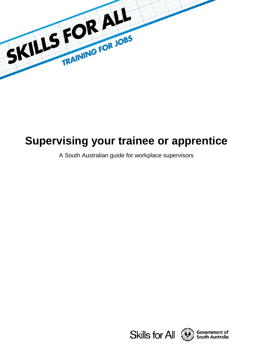

# **Supervising your trainee or apprentice**

A South Australian guide for workplace supervisors





Government of **South Australia**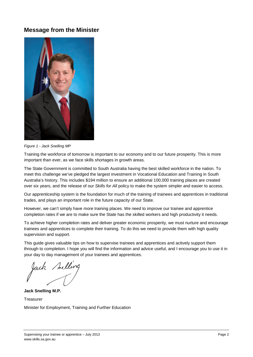# **Message from the Minister**



*Figure 1 - Jack Snelling MP*

Training the workforce of tomorrow is important to our economy and to our future prosperity. This is more important than ever, as we face skills shortages in growth areas.

The State Government is committed to South Australia having the best skilled workforce in the nation. To meet this challenge we've pledged the largest investment in Vocational Education and Training in South Australia's history. This includes \$194 million to ensure an additional 100,000 training places are created over six years, and the release of our *Skills for All* policy to make the system simpler and easier to access.

Our apprenticeship system is the foundation for much of the training of trainees and apprentices in traditional trades, and plays an important role in the future capacity of our State.

However, we can't simply have more training places. We need to improve our trainee and apprentice completion rates if we are to make sure the State has the skilled workers and high productivity it needs.

To achieve higher completion rates and deliver greater economic prosperity, we must nurture and encourage trainees and apprentices to complete their training. To do this we need to provide them with high quality supervision and support.

This guide gives valuable tips on how to supervise trainees and apprentices and actively support them through to completion. I hope you will find the information and advice useful, and I encourage you to use it in your day to day management of your trainees and apprentices.

**Jack Snelling M.P. Treasurer** 

Minister for Employment, Training and Further Education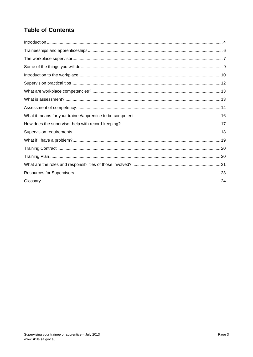# **Table of Contents**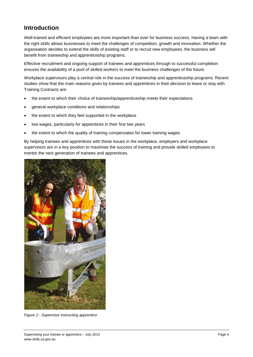# <span id="page-3-0"></span>**Introduction**

Well-trained and efficient employees are more important than ever for business success. Having a team with the right skills allows businesses to meet the challenges of competition, growth and innovation. Whether the organisation decides to extend the skills of existing staff or to recruit new employees, the business will benefit from traineeship and apprenticeship programs.

Effective recruitment and ongoing support of trainees and apprentices through to successful completion ensures the availability of a pool of skilled workers to meet the business challenges of the future.

Workplace supervisors play a central role in the success of traineeship and apprenticeship programs. Recent studies show that the main reasons given by trainees and apprentices in their decision to leave or stay with Training Contracts are:

- the extent to which their choice of traineeship/apprenticeship meets their expectations
- general workplace conditions and relationships
- the extent to which they feel supported in the workplace
- low wages, particularly for apprentices in their first two years
- the extent to which the quality of training compensates for lower training wages.

By helping trainees and apprentices with these issues in the workplace, employers and workplace supervisors are in a key position to maximise the success of training and provide skilled employees to mentor the next generation of trainees and apprentices.



*Figure 2 - Supervisor instructing apprentice*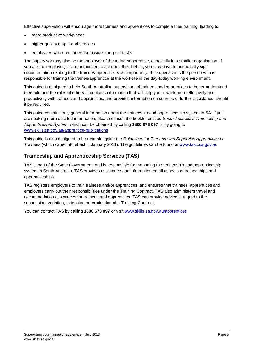Effective supervision will encourage more trainees and apprentices to complete their training, leading to:

- more productive workplaces
- higher quality output and services
- employees who can undertake a wider range of tasks.

The supervisor may also be the employer of the trainee/apprentice, especially in a smaller organisation. If you are the employer, or are authorised to act upon their behalf, you may have to periodically sign documentation relating to the trainee/apprentice. Most importantly, the supervisor is the person who is responsible for training the trainee/apprentice at the worksite in the day-today working environment.

This guide is designed to help South Australian supervisors of trainees and apprentices to better understand their role and the roles of others. It contains information that will help you to work more effectively and productively with trainees and apprentices, and provides information on sources of further assistance, should it be required.

This guide contains only general information about the traineeship and apprenticeship system in SA. If you are seeking more detailed information, please consult the booklet entitled *South Australia's Traineeship and Apprenticeship System*, which can be obtained by calling **1800 673 097** or by going to [www.skills.sa.gov.au/apprentice-publications](http://www.skills.sa.gov.au/apprentice-publications)

This guide is also designed to be read alongside the *Guidelines for Persons who Supervise Apprentices or Trainees* (which came into effect in January 2011). The guidelines can be found at [www.tasc.sa.gov.au](http://www.tasc.sa.gov.au/)

# **Traineeship and Apprenticeship Services (TAS)**

TAS is part of the State Government, and is responsible for managing the traineeship and apprenticeship system in South Australia. TAS provides assistance and information on all aspects of traineeships and apprenticeships.

TAS registers employers to train trainees and/or apprentices, and ensures that trainees, apprentices and employers carry out their responsibilities under the Training Contract. TAS also administers travel and accommodation allowances for trainees and apprentices. TAS can provide advice in regard to the suspension, variation, extension or termination of a Training Contract.

You can contact TAS by calling **1800 673 097** or visit [www.skills.sa.gov.au/apprentices](http://www.skills.sa.gov.au/apprentices)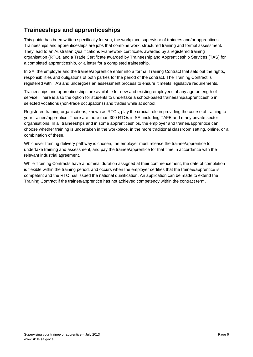# <span id="page-5-0"></span>**Traineeships and apprenticeships**

This guide has been written specifically for you, the workplace supervisor of trainees and/or apprentices. Traineeships and apprenticeships are jobs that combine work, structured training and formal assessment. They lead to an Australian Qualifications Framework certificate, awarded by a registered training organisation (RTO), and a Trade Certificate awarded by Traineeship and Apprenticeship Services (TAS) for a completed apprenticeship, or a letter for a completed traineeship.

In SA, the employer and the trainee/apprentice enter into a formal Training Contract that sets out the rights, responsibilities and obligations of both parties for the period of the contract. The Training Contract is registered with TAS and undergoes an assessment process to ensure it meets legislative requirements.

Traineeships and apprenticeships are available for new and existing employees of any age or length of service. There is also the option for students to undertake a school-based traineeship/apprenticeship in selected vocations (non-trade occupations) and trades while at school.

Registered training organisations, known as RTOs, play the crucial role in providing the course of training to your trainee/apprentice. There are more than 300 RTOs in SA, including TAFE and many private sector organisations. In all traineeships and in some apprenticeships, the employer and trainee/apprentice can choose whether training is undertaken in the workplace, in the more traditional classroom setting, online, or a combination of these.

Whichever training delivery pathway is chosen, the employer must release the trainee/apprentice to undertake training and assessment, and pay the trainee/apprentice for that time in accordance with the relevant industrial agreement.

While Training Contracts have a nominal duration assigned at their commencement, the date of completion is flexible within the training period, and occurs when the employer certifies that the trainee/apprentice is competent and the RTO has issued the national qualification. An application can be made to extend the Training Contract if the trainee/apprentice has not achieved competency within the contract term.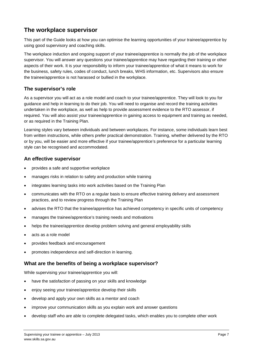# <span id="page-6-0"></span>**The workplace supervisor**

This part of the Guide looks at how you can optimise the learning opportunities of your trainee/apprentice by using good supervisory and coaching skills.

The workplace induction and ongoing support of your trainee/apprentice is normally the job of the workplace supervisor. You will answer any questions your trainee/apprentice may have regarding their training or other aspects of their work. It is your responsibility to inform your trainee/apprentice of what it means to work for the business, safety rules, codes of conduct, lunch breaks, WHS information, etc. Supervisors also ensure the trainee/apprentice is not harassed or bullied in the workplace.

# **The supervisor's role**

As a supervisor you will act as a role model and coach to your trainee/apprentice. They will look to you for guidance and help in learning to do their job. You will need to organise and record the training activities undertaken in the workplace, as well as help to provide assessment evidence to the RTO assessor, if required. You will also assist your trainee/apprentice in gaining access to equipment and training as needed, or as required in the Training Plan.

Learning styles vary between individuals and between workplaces. For instance, some individuals learn best from written instructions, while others prefer practical demonstration. Training, whether delivered by the RTO or by you, will be easier and more effective if your trainee/apprentice's preference for a particular learning style can be recognised and accommodated.

### **An effective supervisor**

- provides a safe and supportive workplace
- manages risks in relation to safety and production while training
- integrates learning tasks into work activities based on the Training Plan
- communicates with the RTO on a regular basis to ensure effective training delivery and assessment practices, and to review progress through the Training Plan
- advises the RTO that the trainee/apprentice has achieved competency in specific units of competency
- manages the trainee/apprentice's training needs and motivations
- helps the trainee/apprentice develop problem solving and general employability skills
- acts as a role model
- provides feedback and encouragement
- promotes independence and self-direction in learning.

### **What are the benefits of being a workplace supervisor?**

While supervising your trainee/apprentice you will:

- have the satisfaction of passing on your skills and knowledge
- enjoy seeing your trainee/apprentice develop their skills
- develop and apply your own skills as a mentor and coach
- improve your communication skills as you explain work and answer questions
- develop staff who are able to complete delegated tasks, which enables you to complete other work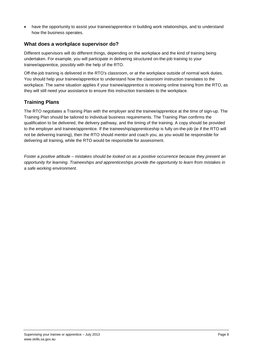• have the opportunity to assist your trainee/apprentice in building work relationships, and to understand how the business operates.

### **What does a workplace supervisor do?**

Different supervisors will do different things, depending on the workplace and the kind of training being undertaken. For example, you will participate in delivering structured on-the-job training to your trainee/apprentice, possibly with the help of the RTO.

Off-the-job training is delivered in the RTO's classroom, or at the workplace outside of normal work duties. You should help your trainee/apprentice to understand how the classroom instruction translates to the workplace. The same situation applies if your trainee/apprentice is receiving online training from the RTO, as they will still need your assistance to ensure this instruction translates to the workplace.

# **Training Plans**

The RTO negotiates a Training Plan with the employer and the trainee/apprentice at the time of sign-up. The Training Plan should be tailored to individual business requirements. The Training Plan confirms the qualification to be delivered, the delivery pathway, and the timing of the training. A copy should be provided to the employer and trainee/apprentice. If the traineeship/apprenticeship is fully on-the-job (ie if the RTO will not be delivering training), then the RTO should mentor and coach you, as you would be responsible for delivering all training, while the RTO would be responsible for assessment.

*Foster a positive attitude – mistakes should be looked on as a positive occurrence because they present an opportunity for learning. Traineeships and apprenticeships provide the opportunity to learn from mistakes in a safe working environment.*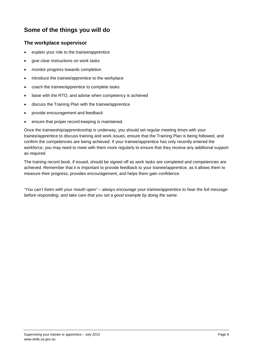# <span id="page-8-0"></span>**Some of the things you will do**

### **The workplace supervisor**

- explain your role to the trainee/apprentice
- give clear instructions on work tasks
- monitor progress towards completion
- introduce the trainee/apprentice to the workplace
- coach the trainee/apprentice to complete tasks
- liaise with the RTO, and advise when competency is achieved
- discuss the Training Plan with the trainee/apprentice
- provide encouragement and feedback
- ensure that proper record-keeping is maintained.

Once the traineeship/apprenticeship is underway, you should set regular meeting times with your trainee/apprentice to discuss training and work issues, ensure that the Training Plan is being followed, and confirm the competencies are being achieved. If your trainee/apprentice has only recently entered the workforce, you may need to meet with them more regularly to ensure that they receive any additional support as required.

The training record book, if issued, should be signed off as work tasks are completed and competencies are achieved. Remember that it is important to provide feedback to your trainee/apprentice, as it allows them to measure their progress, provides encouragement, and helps them gain confidence.

*"You can't listen with your mouth open" – always encourage your trainee/apprentice to hear the full message before responding, and take care that you set a good example by doing the same.*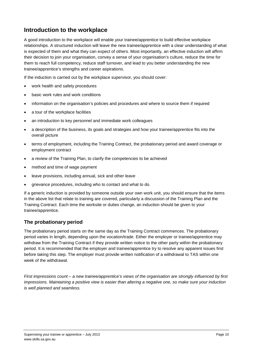# <span id="page-9-0"></span>**Introduction to the workplace**

A good introduction to the workplace will enable your trainee/apprentice to build effective workplace relationships. A structured induction will leave the new trainee/apprentice with a clear understanding of what is expected of them and what they can expect of others. Most importantly, an effective induction will affirm their decision to join your organisation, convey a sense of your organisation's culture, reduce the time for them to reach full competency, reduce staff turnover, and lead to you better understanding the new trainee/apprentice's strengths and career aspirations.

If the induction is carried out by the workplace supervisor, you should cover:

- work health and safety procedures
- basic work rules and work conditions
- information on the organisation's policies and procedures and where to source them if required
- a tour of the workplace facilities
- an introduction to key personnel and immediate work colleagues
- a description of the business, its goals and strategies and how your trainee/apprentice fits into the overall picture
- terms of employment, including the Training Contract, the probationary period and award coverage or employment contract
- a review of the Training Plan, to clarify the competencies to be achieved
- method and time of wage payment
- leave provisions, including annual, sick and other leave
- grievance procedures, including who to contact and what to do.

If a generic induction is provided by someone outside your own work unit, you should ensure that the items in the above list that relate to training are covered, particularly a discussion of the Training Plan and the Training Contract. Each time the worksite or duties change, an induction should be given to your trainee/apprentice.

# **The probationary period**

The probationary period starts on the same day as the Training Contract commences. The probationary period varies in length, depending upon the vocation/trade. Either the employer or trainee/apprentice may withdraw from the Training Contract if they provide written notice to the other party within the probationary period. It is recommended that the employer and trainee/apprentice try to resolve any apparent issues first before taking this step. The employer must provide written notification of a withdrawal to TAS within one week of the withdrawal.

*First impressions count – a new trainee/apprentice's views of the organisation are strongly influenced by first impressions. Maintaining a positive view is easier than altering a negative one, so make sure your induction is well planned and seamless.*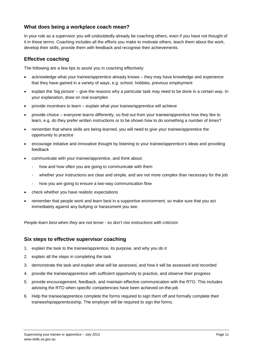### **What does being a workplace coach mean?**

In your role as a supervisor you will undoubtedly already be coaching others, even if you have not thought of it in these terms. Coaching includes all the efforts you make to motivate others, teach them about the work, develop their skills, provide them with feedback and recognise their achievements.

### **Effective coaching**

The following are a few tips to assist you in coaching effectively:

- acknowledge what your trainee/apprentice already knows they may have knowledge and experience that they have gained in a variety of ways, e.g. school, hobbies, previous employment
- explain the 'big picture' give the reasons why a particular task may need to be done in a certain way. In your explanation, draw on real examples
- provide incentives to learn explain what your trainee/apprentice will achieve
- provide choice everyone learns differently, so find out from your trainee/apprentice how they like to learn, e.g. do they prefer written instructions or to be shown how to do something a number of times?
- remember that where skills are being learned, you will need to give your trainee/apprentice the opportunity to practice
- encourage initiative and innovative thought by listening to your trainee/apprentice's ideas and providing feedback
- communicate with your trainee/apprentice, and think about:
	- how and how often you are going to communicate with them
	- whether your instructions are clear and simple, and are not more complex than necessary for the job
	- how you are going to ensure a two-way communication flow
- check whether you have realistic expectations
- remember that people work and learn best in a supportive environment, so make sure that you act immediately against any bullying or harassment you see.

*People learn best when they are not tense - so don't mix instructions with criticism*

### **Six steps to effective supervisor coaching**

- 1. explain the task to the trainee/apprentice, its purpose, and why you do it
- 2. explain all the steps in completing the task
- 3. demonstrate the task and explain what will be assessed, and how it will be assessed and recorded
- 4. provide the trainee/apprentice with sufficient opportunity to practice, and observe their progress
- 5. provide encouragement, feedback, and maintain effective communication with the RTO. This includes advising the RTO when specific competencies have been achieved on-the-job
- 6. Help the trainee/apprentice complete the forms required to sign them off and formally complete their traineeship/apprenticeship. The employer will be required to sign the forms.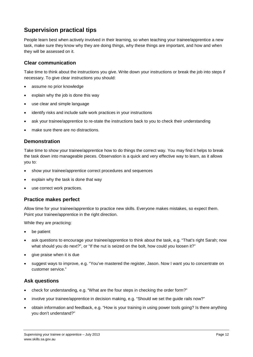# <span id="page-11-0"></span>**Supervision practical tips**

People learn best when actively involved in their learning, so when teaching your trainee/apprentice a new task, make sure they know why they are doing things, why these things are important, and how and when they will be assessed on it.

### **Clear communication**

Take time to think about the instructions you give. Write down your instructions or break the job into steps if necessary. To give clear instructions you should:

- assume no prior knowledge
- explain why the job is done this way
- use clear and simple language
- identify risks and include safe work practices in your instructions
- ask your trainee/apprentice to re-state the instructions back to you to check their understanding
- make sure there are no distractions.

### **Demonstration**

Take time to show your trainee/apprentice how to do things the correct way. You may find it helps to break the task down into manageable pieces. Observation is a quick and very effective way to learn, as it allows you to:

- show your trainee/apprentice correct procedures and sequences
- explain why the task is done that way
- use correct work practices.

### **Practice makes perfect**

Allow time for your trainee/apprentice to practice new skills. Everyone makes mistakes, so expect them. Point your trainee/apprentice in the right direction.

While they are practicing:

- be patient
- ask questions to encourage your trainee/apprentice to think about the task, e.g. "That's right Sarah; now what should you do next?", or "If the nut is seized on the bolt, how could you loosen it?"
- give praise when it is due
- suggest ways to improve, e.g. "You've mastered the register, Jason. Now I want you to concentrate on customer service."

### **Ask questions**

- check for understanding, e.g. "What are the four steps in checking the order form?"
- involve your trainee/apprentice in decision making, e.g. "Should we set the guide rails now?"
- obtain information and feedback, e.g. "How is your training in using power tools going? Is there anything you don't understand?"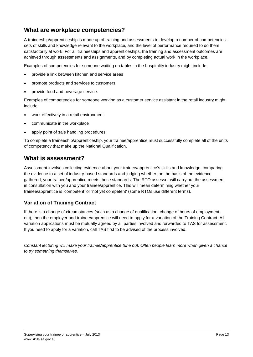# <span id="page-12-0"></span>**What are workplace competencies?**

A traineeship/apprenticeship is made up of training and assessments to develop a number of competencies sets of skills and knowledge relevant to the workplace, and the level of performance required to do them satisfactorily at work. For all traineeships and apprenticeships, the training and assessment outcomes are achieved through assessments and assignments, and by completing actual work in the workplace.

Examples of competencies for someone waiting on tables in the hospitality industry might include:

- provide a link between kitchen and service areas
- promote products and services to customers
- provide food and beverage service.

Examples of competencies for someone working as a customer service assistant in the retail industry might include:

- work effectively in a retail environment
- communicate in the workplace
- apply point of sale handling procedures.

To complete a traineeship/apprenticeship, your trainee/apprentice must successfully complete all of the units of competency that make up the National Qualification.

# <span id="page-12-1"></span>**What is assessment?**

Assessment involves collecting evidence about your trainee/apprentice's skills and knowledge, comparing the evidence to a set of industry-based standards and judging whether, on the basis of the evidence gathered, your trainee/apprentice meets those standards. The RTO assessor will carry out the assessment in consultation with you and your trainee/apprentice. This will mean determining whether your trainee/apprentice is 'competent' or 'not yet competent' (some RTOs use different terms).

# **Variation of Training Contract**

If there is a change of circumstances (such as a change of qualification, change of hours of employment, etc), then the employer and trainee/apprentice will need to apply for a variation of the Training Contract. All variation applications must be mutually agreed by all parties involved and forwarded to TAS for assessment. If you need to apply for a variation, call TAS first to be advised of the process involved.

*Constant lecturing will make your trainee/apprentice tune out. Often people learn more when given a chance to try something themselves.*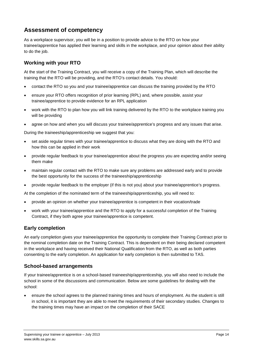# <span id="page-13-0"></span>**Assessment of competency**

As a workplace supervisor, you will be in a position to provide advice to the RTO on how your trainee/apprentice has applied their learning and skills in the workplace, and your opinion about their ability to do the job.

# **Working with your RTO**

At the start of the Training Contract, you will receive a copy of the Training Plan, which will describe the training that the RTO will be providing, and the RTO's contact details. You should:

- contact the RTO so you and your trainee/apprentice can discuss the training provided by the RTO
- ensure your RTO offers recognition of prior learning (RPL) and, where possible, assist your trainee/apprentice to provide evidence for an RPL application
- work with the RTO to plan how you will link training delivered by the RTO to the workplace training you will be providing
- agree on how and when you will discuss your trainee/apprentice's progress and any issues that arise.

During the traineeship/apprenticeship we suggest that you:

- set aside regular times with your trainee/apprentice to discuss what they are doing with the RTO and how this can be applied in their work
- provide regular feedback to your trainee/apprentice about the progress you are expecting and/or seeing them make
- maintain regular contact with the RTO to make sure any problems are addressed early and to provide the best opportunity for the success of the traineeship/apprenticeship
- provide regular feedback to the employer (if this is not you) about your trainee/apprentice's progress.

At the completion of the nominated term of the traineeship/apprenticeship, you will need to:

- provide an opinion on whether your trainee/apprentice is competent in their vocation/trade
- work with your trainee/apprentice and the RTO to apply for a successful completion of the Training Contract, if they both agree your trainee/apprentice is competent.

# **Early completion**

An early completion gives your trainee/apprentice the opportunity to complete their Training Contract prior to the nominal completion date on the Training Contract. This is dependent on their being declared competent in the workplace and having received their National Qualification from the RTO, as well as both parties consenting to the early completion. An application for early completion is then submitted to TAS.

# **School-based arrangements**

If your trainee/apprentice is on a school-based traineeship/apprenticeship, you will also need to include the school in some of the discussions and communication. Below are some guidelines for dealing with the school:

• ensure the school agrees to the planned training times and hours of employment. As the student is still in school, it is important they are able to meet the requirements of their secondary studies. Changes to the training times may have an impact on the completion of their SACE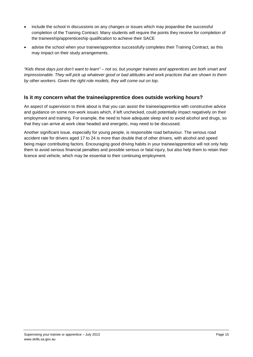- include the school in discussions on any changes or issues which may jeopardise the successful completion of the Training Contract. Many students will require the points they receive for completion of the traineeship/apprenticeship qualification to achieve their SACE
- advise the school when your trainee/apprentice successfully completes their Training Contract, as this may impact on their study arrangements.

*"Kids these days just don't want to learn" – not so, but younger trainees and apprentices are both smart and impressionable. They will pick up whatever good or bad attitudes and work practices that are shown to them by other workers. Given the right role models, they will come out on top.*

### **Is it my concern what the trainee/apprentice does outside working hours?**

An aspect of supervision to think about is that you can assist the trainee/apprentice with constructive advice and guidance on some non-work issues which, if left unchecked, could potentially impact negatively on their employment and training. For example, the need to have adequate sleep and to avoid alcohol and drugs, so that they can arrive at work clear headed and energetic, may need to be discussed.

Another significant issue, especially for young people, is responsible road behaviour. The serious road accident rate for drivers aged 17 to 24 is more than double that of other drivers, with alcohol and speed being major contributing factors. Encouraging good driving habits in your trainee/apprentice will not only help them to avoid serious financial penalties and possible serious or fatal injury, but also help them to retain their licence and vehicle, which may be essential to their continuing employment.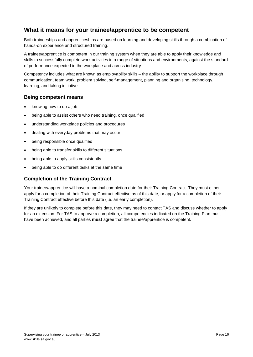# <span id="page-15-0"></span>**What it means for your trainee/apprentice to be competent**

Both traineeships and apprenticeships are based on learning and developing skills through a combination of hands-on experience and structured training.

A trainee/apprentice is competent in our training system when they are able to apply their knowledge and skills to successfully complete work activities in a range of situations and environments, against the standard of performance expected in the workplace and across industry.

Competency includes what are known as employability skills – the ability to support the workplace through communication, team work, problem solving, self-management, planning and organising, technology, learning, and taking initiative.

### **Being competent means**

- knowing how to do a job
- being able to assist others who need training, once qualified
- understanding workplace policies and procedures
- dealing with everyday problems that may occur
- being responsible once qualified
- being able to transfer skills to different situations
- being able to apply skills consistently
- being able to do different tasks at the same time

### **Completion of the Training Contract**

Your trainee/apprentice will have a nominal completion date for their Training Contract. They must either apply for a completion of their Training Contract effective as of this date, or apply for a completion of their Training Contract effective before this date (i.e. an early completion).

If they are unlikely to complete before this date, they may need to contact TAS and discuss whether to apply for an extension. For TAS to approve a completion, all competencies indicated on the Training Plan must have been achieved, and all parties **must** agree that the trainee/apprentice is competent.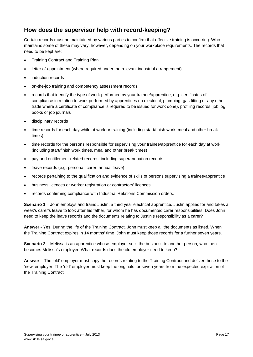# <span id="page-16-0"></span>**How does the supervisor help with record-keeping?**

Certain records must be maintained by various parties to confirm that effective training is occurring. Who maintains some of these may vary, however, depending on your workplace requirements. The records that need to be kept are:

- Training Contract and Training Plan
- letter of appointment (where required under the relevant industrial arrangement)
- induction records
- on-the-job training and competency assessment records
- records that identify the type of work performed by your trainee/apprentice, e.g. certificates of compliance in relation to work performed by apprentices (in electrical, plumbing, gas fitting or any other trade where a certificate of compliance is required to be issued for work done), profiling records, job log books or job journals
- disciplinary records
- time records for each day while at work or training (including start/finish work, meal and other break times)
- time records for the persons responsible for supervising your trainee/apprentice for each day at work (including start/finish work times, meal and other break times)
- pay and entitlement-related records, including superannuation records
- leave records (e.g. personal, carer, annual leave)
- records pertaining to the qualification and evidence of skills of persons supervising a trainee/apprentice
- business licences or worker registration or contractors' licences
- records confirming compliance with Industrial Relations Commission orders.

**Scenario 1** – John employs and trains Justin, a third year electrical apprentice. Justin applies for and takes a week's carer's leave to look after his father, for whom he has documented carer responsibilities. Does John need to keep the leave records and the documents relating to Justin's responsibility as a carer?

**Answer** - Yes. During the life of the Training Contract, John must keep all the documents as listed. When the Training Contract expires in 14 months' time, John must keep those records for a further seven years.

**Scenario 2** – Melissa is an apprentice whose employer sells the business to another person, who then becomes Melissa's employer. What records does the old employer need to keep?

**Answer** – The 'old' employer must copy the records relating to the Training Contract and deliver these to the 'new' employer. The 'old' employer must keep the originals for seven years from the expected expiration of the Training Contract.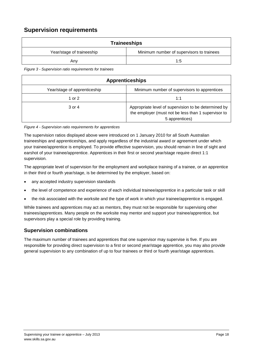# <span id="page-17-0"></span>**Supervision requirements**

| Traineeships              |                                           |  |
|---------------------------|-------------------------------------------|--|
| Year/stage of traineeship | Minimum number of supervisors to trainees |  |
| Any                       | 1:5                                       |  |

*Figure 3 - Supervision ratio requirements for trainees*

| <b>Apprenticeships</b>       |                                                                                                                               |  |
|------------------------------|-------------------------------------------------------------------------------------------------------------------------------|--|
| Year/stage of apprenticeship | Minimum number of supervisors to apprentices                                                                                  |  |
| 1 or 2                       | 1:1                                                                                                                           |  |
| 3 or 4                       | Appropriate level of supervision to be determined by<br>the employer (must not be less than 1 supervisor to<br>5 apprentices) |  |

#### *Figure 4 - Supervision ratio requirements for apprentices*

The supervision ratios displayed above were introduced on 1 January 2010 for all South Australian traineeships and apprenticeships, and apply regardless of the industrial award or agreement under which your trainee/apprentice is employed. To provide effective supervision, you should remain in line of sight and earshot of your trainee/apprentice. Apprentices in their first or second year/stage require direct 1:1 supervision.

The appropriate level of supervision for the employment and workplace training of a trainee, or an apprentice in their third or fourth year/stage, is be determined by the employer, based on:

- any accepted industry supervision standards
- the level of competence and experience of each individual trainee/apprentice in a particular task or skill
- the risk associated with the worksite and the type of work in which your trainee/apprentice is engaged.

While trainees and apprentices may act as mentors, they must not be responsible for supervising other trainees/apprentices. Many people on the worksite may mentor and support your trainee/apprentice, but supervisors play a special role by providing training.

### **Supervision combinations**

The maximum number of trainees and apprentices that one supervisor may supervise is five. If you are responsible for providing direct supervision to a first or second year/stage apprentice, you may also provide general supervision to any combination of up to four trainees or third or fourth year/stage apprentices.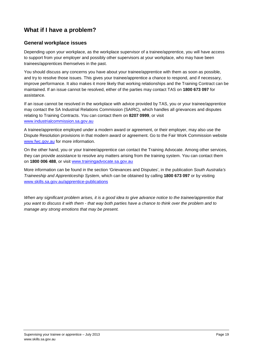# <span id="page-18-0"></span>**What if I have a problem?**

### **General workplace issues**

Depending upon your workplace, as the workplace supervisor of a trainee/apprentice, you will have access to support from your employer and possibly other supervisors at your workplace, who may have been trainees/apprentices themselves in the past.

You should discuss any concerns you have about your trainee/apprentice with them as soon as possible, and try to resolve those issues. This gives your trainee/apprentice a chance to respond, and if necessary, improve performance. It also makes it more likely that working relationships and the Training Contract can be maintained. If an issue cannot be resolved, either of the parties may contact TAS on **1800 673 097** for assistance.

If an issue cannot be resolved in the workplace with advice provided by TAS, you or your trainee/apprentice may contact the SA Industrial Relations Commission (SAIRC), which handles all grievances and disputes relating to Training Contracts. You can contact them on **8207 0999**, or visit [www.industrialcommission.sa.gov.au](http://www.industrialcommission.sa.gov.au/)

A trainee/apprentice employed under a modern award or agreement, or their employer, may also use the Dispute Resolution provisions in that modern award or agreement. Go to the Fair Work Commission website [www.fwc.gov.au](http://www.fwc.gov.au/) for more information.

On the other hand, you or your trainee/apprentice can contact the Training Advocate. Among other services, they can provide assistance to resolve any matters arising from the training system. You can contact them on **1800 006 488**, or visit [www.trainingadvocate.sa.gov.au](http://www.trainingadvocate.sa.gov.au/)

More information can be found in the section 'Grievances and Disputes', in the publication *South Australia's Traineeship and Apprenticeship System*, which can be obtained by calling **1800 673 097** or by visiting [www.skills.sa.gov.au/apprentice-publications](http://www.skills.sa.gov.au/apprentice-publications)

*When any significant problem arises, it is a good idea to give advance notice to the trainee/apprentice that you want to discuss it with them - that way both parties have a chance to think over the problem and to manage any strong emotions that may be present.*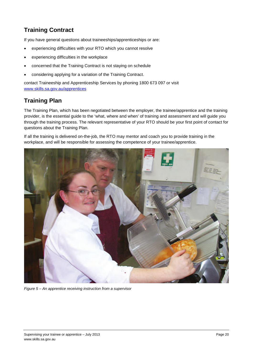# <span id="page-19-0"></span>**Training Contract**

If you have general questions about traineeships/apprenticeships or are:

- experiencing difficulties with your RTO which you cannot resolve
- experiencing difficulties in the workplace
- concerned that the Training Contract is not staying on schedule
- considering applying for a variation of the Training Contract.

contact Traineeship and Apprenticeship Services by phoning 1800 673 097 or visit [www.skills.sa.gov.au/apprentices](http://www.skills.sa.gov.au/apprentices)

# <span id="page-19-1"></span>**Training Plan**

The Training Plan, which has been negotiated between the employer, the trainee/apprentice and the training provider, is the essential guide to the 'what, where and when' of training and assessment and will guide you through the training process. The relevant representative of your RTO should be your first point of contact for questions about the Training Plan.

If all the training is delivered on-the-job, the RTO may mentor and coach you to provide training in the workplace, and will be responsible for assessing the competence of your trainee/apprentice.



*Figure 5 – An apprentice receiving instruction from a supervisor*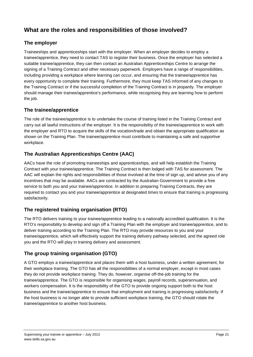# <span id="page-20-0"></span>**What are the roles and responsibilities of those involved?**

# **The employer**

Traineeships and apprenticeships start with the employer. When an employer decides to employ a trainee/apprentice, they need to contact TAS to register their business. Once the employer has selected a suitable trainee/apprentice, they can then contact an Australian Apprenticeships Centre to arrange the signing of a Training Contract and other necessary paperwork. Employers have a range of responsibilities, including providing a workplace where learning can occur, and ensuring that the trainee/apprentice has every opportunity to complete their training. Furthermore, they must keep TAS informed of any changes to the Training Contract or if the successful completion of the Training Contract is in jeopardy. The employer should manage their trainee/apprentice's performance, while recognising they are learning how to perform the job.

### **The trainee/apprentice**

The role of the trainee/apprentice is to undertake the course of training listed in the Training Contract and carry out all lawful instructions of the employer. It is the responsibility of the trainee/apprentice to work with the employer and RTO to acquire the skills of the vocation/trade and obtain the appropriate qualification as shown on the Training Plan. The trainee/apprentice must contribute to maintaining a safe and supportive workplace.

# **The Australian Apprenticeships Centre (AAC)**

AACs have the role of promoting traineeships and apprenticeships, and will help establish the Training Contract with your trainee/apprentice. The Training Contract is then lodged with TAS for assessment. The AAC will explain the rights and responsibilities of those involved at the time of sign up, and advise you of any incentives that may be available. AACs are contracted by the Australian Government to provide a free service to both you and your trainee/apprentice. In addition to preparing Training Contracts, they are required to contact you and your trainee/apprentice at designated times to ensure that training is progressing satisfactorily.

# **The registered training organisation (RTO)**

The RTO delivers training to your trainee/apprentice leading to a nationally accredited qualification. It is the RTO's responsibility to develop and sign off a Training Plan with the employer and trainee/apprentice, and to deliver training according to the Training Plan. The RTO may provide resources to you and your trainee/apprentice, which will effectively support the training delivery pathway selected, and the agreed role you and the RTO will play in training delivery and assessment.

# **The group training organisation (GTO)**

A GTO employs a trainee/apprentice and places them with a host business, under a written agreement, for their workplace training. The GTO has all the responsibilities of a normal employer, except in most cases they do not provide workplace training. They do, however, organise off-the-job training for the trainee/apprentice. The GTO is responsible for organising wages, payroll records, superannuation, and workers compensation. It is the responsibility of the GTO to provide ongoing support both to the host business and the trainee/apprentice to ensure that employment and training is progressing satisfactorily. If the host business is no longer able to provide sufficient workplace training, the GTO should rotate the trainee/apprentice to another host business.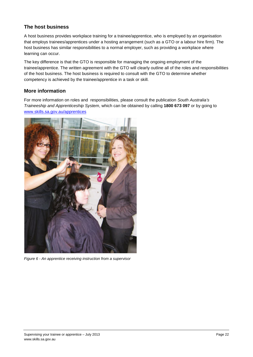# **The host business**

A host business provides workplace training for a trainee/apprentice, who is employed by an organisation that employs trainees/apprentices under a hosting arrangement (such as a GTO or a labour hire firm). The host business has similar responsibilities to a normal employer, such as providing a workplace where learning can occur.

The key difference is that the GTO is responsible for managing the ongoing employment of the trainee/apprentice. The written agreement with the GTO will clearly outline all of the roles and responsibilities of the host business. The host business is required to consult with the GTO to determine whether competency is achieved by the trainee/apprentice in a task or skill.

# **More information**

For more information on roles and responsibilities, please consult the publication *South Australia's Traineeship and Apprenticeship System*, which can be obtained by calling **1800 673 097** or by going to [www.skills.sa.gov.au/apprentices](http://www.skills.sa.gov.au/apprentices)



*Figure 6 - An apprentice receiving instruction from a supervisor*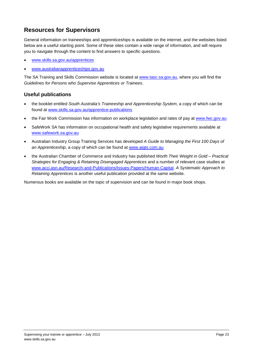# <span id="page-22-0"></span>**Resources for Supervisors**

General information on traineeships and apprenticeships is available on the internet, and the websites listed below are a useful starting point. Some of these sites contain a wide range of information, and will require you to navigate through the content to find answers to specific questions.

- [www.skills.sa.gov.au/apprentices](http://www.skills.sa.gov.au/apprentices)
- [www.australianapprenticeships.gov.au](http://www.australianapprenticeships.gov.au/)

The SA Training and Skills Commission website is located at [www.tasc.sa.gov.au,](http://www.tasc.sa.gov.au/) where you will find the *Guidelines for Persons who Supervise Apprentices or Trainees*.

### **Useful publications**

- the booklet entitled *South Australia's Traineeship and Apprenticeship System*, a copy of which can be found at [www.skills.sa.gov.au/apprentice-publications](http://www.skills.sa.gov.au/apprentice-publications)
- the Fair Work Commission has information on workplace legislation and rates of pay at [www.fwc.gov.au](http://www.fwc.gov.au/)
- SafeWork SA has information on occupational health and safety legislative requirements available at [www.safework.sa.gov.au](http://www.safework.sa.gov.au/)
- Australian Industry Group Training Services has developed *A Guide to Managing the First 100 Days of an Apprenticeship*, a copy of which can be found at www.aigts.com.au
- the Australian Chamber of Commerce and Industry has published *Worth Their Weight in Gold – Practical Strategies for Engaging & Retaining Disengaged Apprentices* and a number of relevant case studies at [www.acci.asn.au/Research-and-Publications/Issues-Papers/Human-Capital.](http://www.acci.asn.au/Research-and-Publications/Issues-Papers/Human-Capital) *A Systematic Approach to Retaining Apprentices* is another useful publication provided at the same website.

Numerous books are available on the topic of supervision and can be found in major book shops.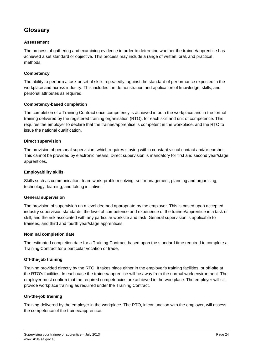# <span id="page-23-0"></span>**Glossary**

### **Assessment**

The process of gathering and examining evidence in order to determine whether the trainee/apprentice has achieved a set standard or objective. This process may include a range of written, oral, and practical methods.

### **Competency**

The ability to perform a task or set of skills repeatedly, against the standard of performance expected in the workplace and across industry. This includes the demonstration and application of knowledge, skills, and personal attributes as required.

### **Competency-based completion**

The completion of a Training Contract once competency is achieved in both the workplace and in the formal training delivered by the registered training organisation (RTO), for each skill and unit of competence. This requires the employer to declare that the trainee/apprentice is competent in the workplace, and the RTO to issue the national qualification.

#### **Direct supervision**

The provision of personal supervision, which requires staying within constant visual contact and/or earshot. This cannot be provided by electronic means. Direct supervision is mandatory for first and second year/stage apprentices.

#### **Employability skills**

Skills such as communication, team work, problem solving, self-management, planning and organising, technology, learning, and taking initiative.

#### **General supervision**

The provision of supervision on a level deemed appropriate by the employer. This is based upon accepted industry supervision standards, the level of competence and experience of the trainee/apprentice in a task or skill, and the risk associated with any particular worksite and task. General supervision is applicable to trainees, and third and fourth year/stage apprentices.

#### **Nominal completion date**

The estimated completion date for a Training Contract, based upon the standard time required to complete a Training Contract for a particular vocation or trade.

### **Off-the-job training**

Training provided directly by the RTO. It takes place either in the employer's training facilities, or off-site at the RTO's facilities. In each case the trainee/apprentice will be away from the normal work environment. The employer must confirm that the required competencies are achieved in the workplace. The employer will still provide workplace training as required under the Training Contract.

### **On-the-job training**

Training delivered by the employer in the workplace. The RTO, in conjunction with the employer, will assess the competence of the trainee/apprentice.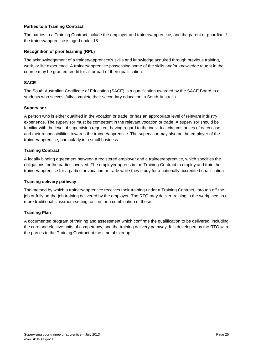#### **Parties to a Training Contract**

The parties to a Training Contract include the employer and trainee/apprentice, and the parent or guardian if the trainee/apprentice is aged under 18.

#### **Recognition of prior learning (RPL)**

The acknowledgement of a trainee/apprentice's skills and knowledge acquired through previous training, work, or life experience. A trainee/apprentice possessing some of the skills and/or knowledge taught in the course may be granted credit for all or part of their qualification.

#### **SACE**

The South Australian Certificate of Education (SACE) is a qualification awarded by the SACE Board to all students who successfully complete their secondary education in South Australia.

#### **Supervisor**

A person who is either qualified in the vocation or trade, or has an appropriate level of relevant industry experience. The supervisor must be competent in the relevant vocation or trade. A supervisor should be familiar with the level of supervision required, having regard to the individual circumstances of each case, and their responsibilities towards the trainee/apprentice. The supervisor may also be the employer of the trainee/apprentice, particularly in a small business.

#### **Training Contract**

A legally binding agreement between a registered employer and a trainee/apprentice, which specifies the obligations for the parties involved. The employer agrees in the Training Contract to employ and train the trainee/apprentice for a particular vocation or trade while they study for a nationally accredited qualification.

#### **Training delivery pathway**

The method by which a trainee/apprentice receives their training under a Training Contract, through off-thejob or fully on-the-job training delivered by the employer. The RTO may deliver training in the workplace, in a more traditional classroom setting, online, or a combination of these.

### **Training Plan**

A documented program of training and assessment which confirms the qualification to be delivered, including the core and elective units of competency, and the training delivery pathway. It is developed by the RTO with the parties to the Training Contract at the time of sign-up.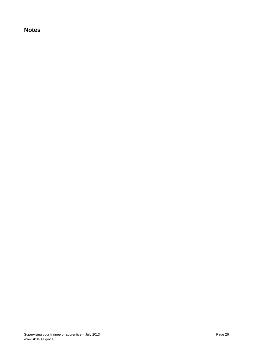# **Notes**